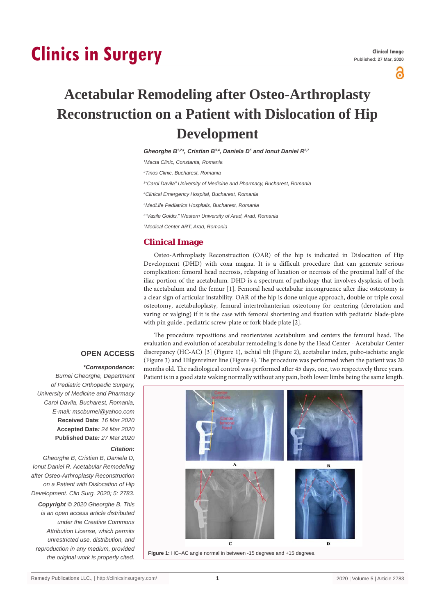# **Clinics in Surgery**

പ്പ

# **Acetabular Remodeling after Osteo-Arthroplasty Reconstruction on a Patient with Dislocation of Hip Development**

*Gheorghe B1,2\*, Cristian B3,4, Daniela D5 and Ionut Daniel R6,7 Macta Clinic, Constanta, Romania Tinos Clinic, Bucharest, Romania "Carol Davila" University of Medicine and Pharmacy, Bucharest, Romania Clinical Emergency Hospital, Bucharest, Romania MedLife Pediatrics Hospitals, Bucharest, Romania "Vasile Goldis'" Western University of Arad, Arad, Romania Medical Center ART, Arad, Romania*

## **Clinical Image**

Osteo-Arthroplasty Reconstruction (OAR) of the hip is indicated in Dislocation of Hip Development (DHD) with coxa magna. It is a difficult procedure that can generate serious complication: femoral head necrosis, relapsing of luxation or necrosis of the proximal half of the iliac portion of the acetabulum. DHD is a spectrum of pathology that involves dysplasia of both the acetabulum and the femur [1]. Femoral head acetabular incongruence after iliac osteotomy is a clear sign of articular instability. OAR of the hip is done unique approach, double or triple coxal osteotomy, acetabuloplasty, femural intertrohanterian osteotomy for centering (derotation and varing or valging) if it is the case with femoral shortening and fixation with pediatric blade-plate with pin guide , pediatric screw-plate or fork blade plate [2].

The procedure repositions and reorientates acetabulum and centers the femural head. The evaluation and evolution of acetabular remodeling is done by the Head Center - Acetabular Center discrepancy (HC-AC) [3] (Figure 1), ischial tilt (Figure 2), acetabular index, pubo-ischiatic angle (Figure 3) and Hilgenreiner line (Figure 4). The procedure was performed when the patient was 20 months old. The radiological control was performed after 45 days, one, two respectively three years. Patient is in a good state waking normally without any pain, both lower limbs being the same length.



### **OPEN ACCESS**

#### *\*Correspondence:*

*Burnei Gheorghe, Department of Pediatric Orthopedic Surgery, University of Medicine and Pharmacy Carol Davila, Bucharest, Romania, E-mail: mscburnei@yahoo.com* **Received Date**: *16 Mar 2020* **Accepted Date***: 24 Mar 2020* **Published Date***: 27 Mar 2020*

#### *Citation:*

*Gheorghe B, Cristian B, Daniela D, Ionut Daniel R. Acetabular Remodeling after Osteo-Arthroplasty Reconstruction on a Patient with Dislocation of Hip Development. Clin Surg. 2020; 5: 2783.*

*Copyright © 2020 Gheorghe B. This is an open access article distributed under the Creative Commons Attribution License, which permits unrestricted use, distribution, and reproduction in any medium, provided the original work is properly cited.*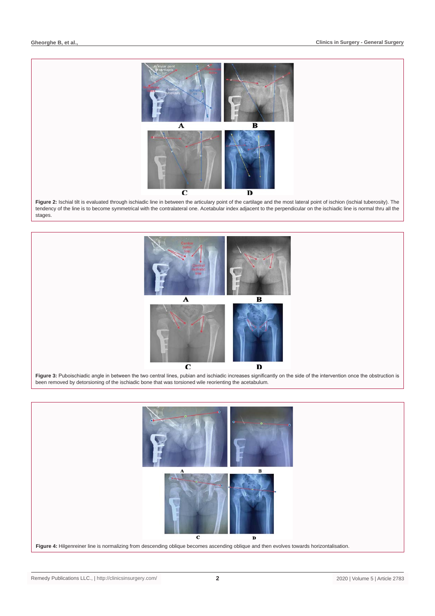

**Figure 2:** Ischial tilt is evaluated through ischiadic line in between the articulary point of the cartilage and the most lateral point of ischion (ischial tuberosity). The tendency of the line is to become symmetrical with the contralateral one. Acetabular index adjacent to the perpendicular on the ischiadic line is normal thru all the stages.



been removed by detorsioning of the ischiadic bone that was torsioned wile reorienting the acetabulum*.*